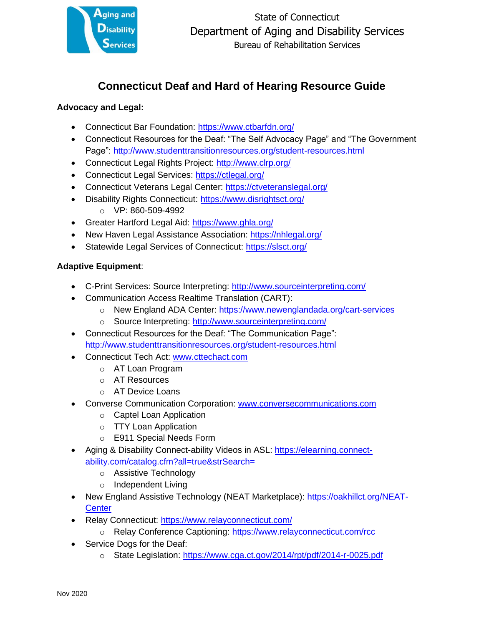

# **Connecticut Deaf and Hard of Hearing Resource Guide**

# **Advocacy and Legal:**

- Connecticut Bar Foundation:<https://www.ctbarfdn.org/>
- Connecticut Resources for the Deaf: "The Self Advocacy Page" and "The Government Page":<http://www.studenttransitionresources.org/student-resources.html>
- Connecticut Legal Rights Project:<http://www.clrp.org/>
- Connecticut Legal Services:<https://ctlegal.org/>
- Connecticut Veterans Legal Center:<https://ctveteranslegal.org/>
- Disability Rights Connecticut:<https://www.disrightsct.org/> o VP: 860-509-4992
- Greater Hartford Legal Aid:<https://www.ghla.org/>
- New Haven Legal Assistance Association:<https://nhlegal.org/>
- Statewide Legal Services of Connecticut:<https://slsct.org/>

# **Adaptive Equipment**:

- C-Print Services: Source Interpreting:<http://www.sourceinterpreting.com/>
- Communication Access Realtime Translation (CART):
	- o New England ADA Center: <https://www.newenglandada.org/cart-services>
	- o Source Interpreting:<http://www.sourceinterpreting.com/>
- Connecticut Resources for the Deaf: "The Communication Page": <http://www.studenttransitionresources.org/student-resources.html>
- Connecticut Tech Act: [www.cttechact.com](http://www.cttechact.com/)
	- o AT Loan Program
	- o AT Resources
	- o AT Device Loans
- Converse Communication Corporation: [www.conversecommunications.com](http://www.conversecommunications.com/)
	- o Captel Loan Application
	- o TTY Loan Application
	- o E911 Special Needs Form
- Aging & Disability Connect-ability Videos in ASL: [https://elearning.connect](https://elearning.connect-ability.com/catalog.cfm?all=true&strSearch=)[ability.com/catalog.cfm?all=true&strSearch=](https://elearning.connect-ability.com/catalog.cfm?all=true&strSearch=)
	- o Assistive Technology
	- o Independent Living
- New England Assistive Technology (NEAT Marketplace): [https://oakhillct.org/NEAT-](https://oakhillct.org/NEAT-Center)**[Center](https://oakhillct.org/NEAT-Center)**
- Relay Connecticut:<https://www.relayconnecticut.com/>
	- o Relay Conference Captioning:<https://www.relayconnecticut.com/rcc>
- Service Dogs for the Deaf:
	- o State Legislation: <https://www.cga.ct.gov/2014/rpt/pdf/2014-r-0025.pdf>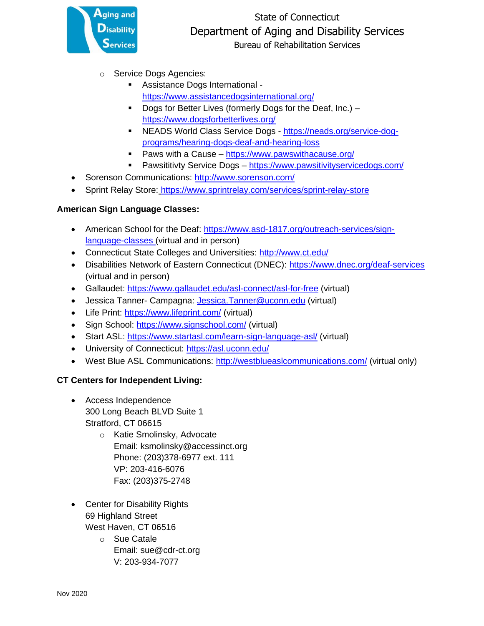

- o Service Dogs Agencies:
	- Assistance Dogs International <https://www.assistancedogsinternational.org/>
	- Dogs for Better Lives (formerly Dogs for the Deaf, Inc.) <https://www.dogsforbetterlives.org/>
	- NEADS World Class Service Dogs [https://neads.org/service-dog](https://neads.org/service-dog-programs/hearing-dogs-deaf-and-hearing-loss)[programs/hearing-dogs-deaf-and-hearing-loss](https://neads.org/service-dog-programs/hearing-dogs-deaf-and-hearing-loss)
	- Paws with a Cause <https://www.pawswithacause.org/>
	- **EXECT** Pawsititivty Service Dogs <https://www.pawsitivityservicedogs.com/>
- Sorenson Communications:<http://www.sorenson.com/>
- Sprint Relay Store: <https://www.sprintrelay.com/services/sprint-relay-store>

### **American Sign Language Classes:**

- American School for the Deaf: [https://www.asd-1817.org/outreach-services/sign](https://www.asd-1817.org/outreach-services/sign-language-classes)[language-classes](https://www.asd-1817.org/outreach-services/sign-language-classes) (virtual and in person)
- Connecticut State Colleges and Universities:<http://www.ct.edu/>
- Disabilities Network of Eastern Connecticut (DNEC):<https://www.dnec.org/deaf-services> (virtual and in person)
- Gallaudet: [https://www.gallaudet.edu/asl-connect/asl-for-free](https://gcc02.safelinks.protection.outlook.com/?url=https%3A%2F%2Fwww.gallaudet.edu%2Fasl-connect%2Fasl-for-free&data=04%7C01%7CAlvin.Chege%40ct.gov%7C9e8c2c779176433f901a08d884f4ac2d%7C118b7cfaa3dd48b9b02631ff69bb738b%7C0%7C0%7C637405533682615087%7CUnknown%7CTWFpbGZsb3d8eyJWIjoiMC4wLjAwMDAiLCJQIjoiV2luMzIiLCJBTiI6Ik1haWwiLCJXVCI6Mn0%3D%7C1000&sdata=6TDDO1k6ze%2FR6sYcVjtZ0uyIxg%2F6ML5sdNRkKgxjCOg%3D&reserved=0) (virtual)
- Jessica Tanner- Campagna: [Jessica.Tanner@uconn.edu](mailto:Jessica.Tanner@uconn.edu) (virtual)
- Life Print:<https://www.lifeprint.com/> (virtual)
- Sign School:<https://www.signschool.com/> (virtual)
- Start ASL: [https://www.startasl.com/learn-sign-language-asl/](https://gcc02.safelinks.protection.outlook.com/?url=https%3A%2F%2Fwww.startasl.com%2Flearn-sign-language-asl%2F&data=04%7C01%7CAlvin.Chege%40ct.gov%7C9e8c2c779176433f901a08d884f4ac2d%7C118b7cfaa3dd48b9b02631ff69bb738b%7C0%7C0%7C637405533682625044%7CUnknown%7CTWFpbGZsb3d8eyJWIjoiMC4wLjAwMDAiLCJQIjoiV2luMzIiLCJBTiI6Ik1haWwiLCJXVCI6Mn0%3D%7C1000&sdata=GeI5A4T48bvtax8i%2BL%2BnPw%2FsCxVHZVKKsbC6kZKVt%2Fc%3D&reserved=0) (virtual)
- University of Connecticut: <https://asl.uconn.edu/>
- West Blue ASL Communications: [http://westblueaslcommunications.com/](https://gcc02.safelinks.protection.outlook.com/?url=http%3A%2F%2Fwestblueaslcommunications.com%2F&data=04%7C01%7CAlvin.Chege%40ct.gov%7C9e8c2c779176433f901a08d884f4ac2d%7C118b7cfaa3dd48b9b02631ff69bb738b%7C0%7C0%7C637405533682615087%7CUnknown%7CTWFpbGZsb3d8eyJWIjoiMC4wLjAwMDAiLCJQIjoiV2luMzIiLCJBTiI6Ik1haWwiLCJXVCI6Mn0%3D%7C1000&sdata=s5GC1CETNY8S1J0%2BcXuhXI%2F0Do%2BR4Z74VoDxPUQ6ceI%3D&reserved=0) (virtual only)

### **CT Centers for Independent Living:**

- Access Independence 300 Long Beach BLVD Suite 1 Stratford, CT 06615
	- o Katie Smolinsky, Advocate Email: ksmolinsky@accessinct.org Phone: (203)378-6977 ext. 111 VP: 203-416-6076 Fax: (203)375-2748
- Center for Disability Rights 69 Highland Street West Haven, CT 06516
	- o Sue Catale Email: sue@cdr-ct.org V: 203-934-7077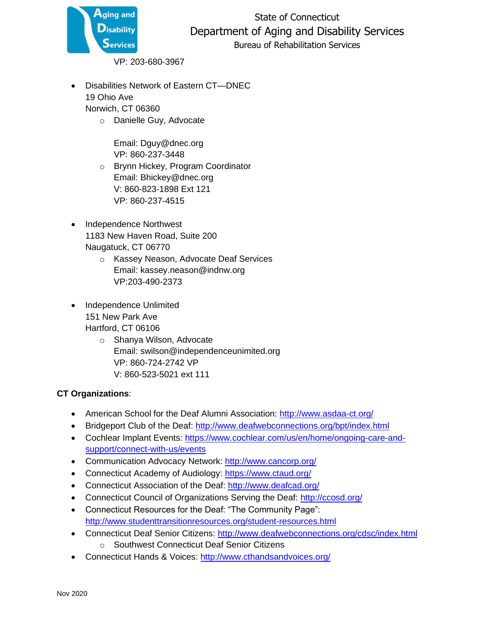

VP: 203-680-3967

- Disabilities Network of Eastern CT—DNEC 19 Ohio Ave Norwich, CT 06360
	- o Danielle Guy, Advocate

Email: Dguy@dnec.org VP: 860-237-3448

- o Brynn Hickey, Program Coordinator Email: Bhickey@dnec.org V: 860-823-1898 Ext 121 VP: 860-237-4515
- Independence Northwest 1183 New Haven Road, Suite 200 Naugatuck, CT 06770
	- o Kassey Neason, Advocate Deaf Services Email: kassey.neason@indnw.org VP:203-490-2373
- Independence Unlimited 151 New Park Ave Hartford, CT 06106
	- o Shanya Wilson, Advocate Email: swilson@independenceunimited.org VP: 860-724-2742 VP V: 860-523-5021 ext 111

# **CT Organizations**:

- American School for the Deaf Alumni Association:<http://www.asdaa-ct.org/>
- Bridgeport Club of the Deaf:<http://www.deafwebconnections.org/bpt/index.html>
- Cochlear Implant Events: [https://www.cochlear.com/us/en/home/ongoing-care-and](https://www.cochlear.com/us/en/home/ongoing-care-and-support/connect-with-us/events)[support/connect-with-us/events](https://www.cochlear.com/us/en/home/ongoing-care-and-support/connect-with-us/events)
- Communication Advocacy Network:<http://www.cancorp.org/>
- Connecticut Academy of Audiology:<https://www.ctaud.org/>
- Connecticut Association of the Deaf:<http://www.deafcad.org/>
- Connecticut Council of Organizations Serving the Deaf:<http://ccosd.org/>
- Connecticut Resources for the Deaf: "The Community Page": <http://www.studenttransitionresources.org/student-resources.html>
- Connecticut Deaf Senior Citizens:<http://www.deafwebconnections.org/cdsc/index.html> o Southwest Connecticut Deaf Senior Citizens
- Connecticut Hands & Voices:<http://www.cthandsandvoices.org/>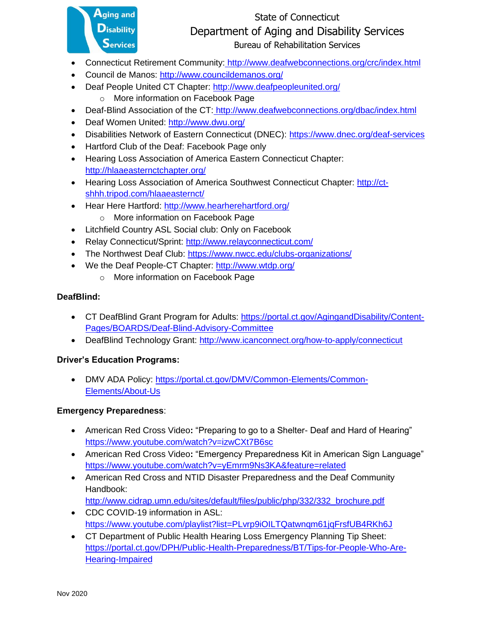

- Connecticut Retirement Community: <http://www.deafwebconnections.org/crc/index.html>
- Council de Manos:<http://www.councildemanos.org/>
- Deaf People United CT Chapter:<http://www.deafpeopleunited.org/> o More information on Facebook Page
- Deaf-Blind Association of the CT: <http://www.deafwebconnections.org/dbac/index.html>
- Deaf Women United:<http://www.dwu.org/>
- Disabilities Network of Eastern Connecticut (DNEC):<https://www.dnec.org/deaf-services>
- Hartford Club of the Deaf: Facebook Page only
- Hearing Loss Association of America Eastern Connecticut Chapter: <http://hlaaeasternctchapter.org/>
- Hearing Loss Association of America Southwest Connecticut Chapter: [http://ct](http://ct-shhh.tripod.com/hlaaeasternct/)[shhh.tripod.com/hlaaeasternct/](http://ct-shhh.tripod.com/hlaaeasternct/)
- Hear Here Hartford:<http://www.hearherehartford.org/>
	- o More information on Facebook Page
- Litchfield Country ASL Social club: Only on Facebook
- Relay Connecticut/Sprint:<http://www.relayconnecticut.com/>
- The Northwest Deaf Club:<https://www.nwcc.edu/clubs-organizations/>
- We the Deaf People-CT Chapter: <http://www.wtdp.org/>
	- o More information on Facebook Page

# **DeafBlind:**

- CT DeafBlind Grant Program for Adults: [https://portal.ct.gov/AgingandDisability/Content-](https://portal.ct.gov/AgingandDisability/Content-Pages/BOARDS/Deaf-Blind-Advisory-Committee)[Pages/BOARDS/Deaf-Blind-Advisory-Committee](https://portal.ct.gov/AgingandDisability/Content-Pages/BOARDS/Deaf-Blind-Advisory-Committee)
- DeafBlind Technology Grant:<http://www.icanconnect.org/how-to-apply/connecticut>

# **Driver's Education Programs:**

• DMV ADA Policy: [https://portal.ct.gov/DMV/Common-Elements/Common-](https://portal.ct.gov/DMV/Common-Elements/Common-Elements/About-Us)[Elements/About-Us](https://portal.ct.gov/DMV/Common-Elements/Common-Elements/About-Us)

# **Emergency Preparedness**:

- American Red Cross Video**:** "Preparing to go to a Shelter- Deaf and Hard of Hearing" <https://www.youtube.com/watch?v=izwCXt7B6sc>
- American Red Cross Video**:** "Emergency Preparedness Kit in American Sign Language" <https://www.youtube.com/watch?v=yEmrm9Ns3KA&feature=related>
- American Red Cross and NTID Disaster Preparedness and the Deaf Community Handbook: [http://www.cidrap.umn.edu/sites/default/files/public/php/332/332\\_brochure.pdf](http://www.cidrap.umn.edu/sites/default/files/public/php/332/332_brochure.pdf)
- CDC COVID-19 information in ASL:
- <https://www.youtube.com/playlist?list=PLvrp9iOILTQatwnqm61jqFrsfUB4RKh6J>
- CT Department of Public Health Hearing Loss Emergency Planning Tip Sheet: [https://portal.ct.gov/DPH/Public-Health-Preparedness/BT/Tips-for-People-Who-Are-](https://portal.ct.gov/DPH/Public-Health-Preparedness/BT/Tips-for-People-Who-Are-Hearing-Impaired)[Hearing-Impaired](https://portal.ct.gov/DPH/Public-Health-Preparedness/BT/Tips-for-People-Who-Are-Hearing-Impaired)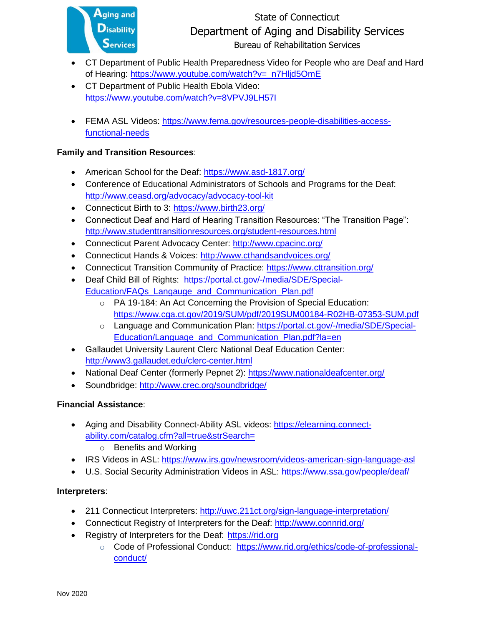

- CT Department of Public Health Preparedness Video for People who are Deaf and Hard of Hearing: [https://www.youtube.com/watch?v=\\_n7Hljd5OmE](https://www.youtube.com/watch?v=_n7Hljd5OmE)
- CT Department of Public Health Ebola Video: <https://www.youtube.com/watch?v=8VPVJ9LH57I>
- FEMA ASL Videos: [https://www.fema.gov/resources-people-disabilities-access](https://www.fema.gov/resources-people-disabilities-access-functional-needs)[functional-needs](https://www.fema.gov/resources-people-disabilities-access-functional-needs)

# **Family and Transition Resources**:

- American School for the Deaf:<https://www.asd-1817.org/>
- Conference of Educational Administrators of Schools and Programs for the Deaf: <http://www.ceasd.org/advocacy/advocacy-tool-kit>
- Connecticut Birth to 3:<https://www.birth23.org/>
- Connecticut Deaf and Hard of Hearing Transition Resources: "The Transition Page": <http://www.studenttransitionresources.org/student-resources.html>
- Connecticut Parent Advocacy Center:<http://www.cpacinc.org/>
- Connecticut Hands & Voices:<http://www.cthandsandvoices.org/>
- Connecticut Transition Community of Practice:<https://www.cttransition.org/>
- Deaf Child Bill of Rights: [https://portal.ct.gov/-/media/SDE/Special-](https://portal.ct.gov/-/media/SDE/Special-Education/FAQs_Langauge_and_Communication_Plan.pdf)[Education/FAQs\\_Langauge\\_and\\_Communication\\_Plan.pdf](https://portal.ct.gov/-/media/SDE/Special-Education/FAQs_Langauge_and_Communication_Plan.pdf)
	- o PA 19-184: An Act Concerning the Provision of Special Education: <https://www.cga.ct.gov/2019/SUM/pdf/2019SUM00184-R02HB-07353-SUM.pdf>
	- o Language and Communication Plan: [https://portal.ct.gov/-/media/SDE/Special-](https://portal.ct.gov/-/media/SDE/Special-Education/Language_and_Communication_Plan.pdf?la=en)[Education/Language\\_and\\_Communication\\_Plan.pdf?la=en](https://portal.ct.gov/-/media/SDE/Special-Education/Language_and_Communication_Plan.pdf?la=en)
- Gallaudet University Laurent Clerc National Deaf Education Center: <http://www3.gallaudet.edu/clerc-center.html>
- National Deaf Center (formerly Pepnet 2):<https://www.nationaldeafcenter.org/>
- Soundbridge:<http://www.crec.org/soundbridge/>

# **Financial Assistance**:

- Aging and Disability Connect-Ability ASL videos: [https://elearning.connect](https://elearning.connect-ability.com/catalog.cfm?all=true&strSearch=)[ability.com/catalog.cfm?all=true&strSearch=](https://elearning.connect-ability.com/catalog.cfm?all=true&strSearch=)
	- o Benefits and Working
- IRS Videos in ASL:<https://www.irs.gov/newsroom/videos-american-sign-language-asl>
- U.S. Social Security Administration Videos in ASL:<https://www.ssa.gov/people/deaf/>

# **Interpreters**:

- 211 Connecticut Interpreters:<http://uwc.211ct.org/sign-language-interpretation/>
- Connecticut Registry of Interpreters for the Deaf:<http://www.connrid.org/>
- Registry of Interpreters for the Deaf: [https://rid.org](https://rid.org/)
	- o Code of Professional Conduct: [https://www.rid.org/ethics/code-of-professional](https://www.rid.org/ethics/code-of-professional-conduct/)[conduct/](https://www.rid.org/ethics/code-of-professional-conduct/)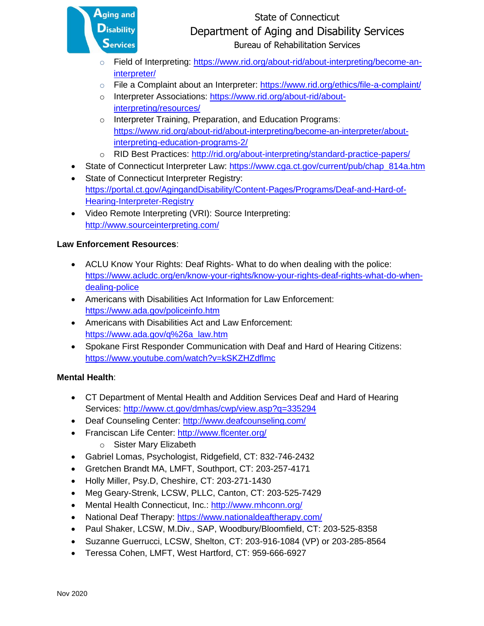

- o Field of Interpreting: [https://www.rid.org/about-rid/about-interpreting/become-an](https://www.rid.org/about-rid/about-interpreting/become-an-interpreter/)[interpreter/](https://www.rid.org/about-rid/about-interpreting/become-an-interpreter/)
- $\circ$  File a Complaint about an Interpreter: <https://www.rid.org/ethics/file-a-complaint/>
- o Interpreter Associations: [https://www.rid.org/about-rid/about](https://www.rid.org/about-rid/about-interpreting/resources/)[interpreting/resources/](https://www.rid.org/about-rid/about-interpreting/resources/)
- o Interpreter Training, Preparation, and Education Programs: [https://www.rid.org/about-rid/about-interpreting/become-an-interpreter/about](https://www.rid.org/about-rid/about-interpreting/become-an-interpreter/about-interpreting-education-programs-2/)[interpreting-education-programs-2/](https://www.rid.org/about-rid/about-interpreting/become-an-interpreter/about-interpreting-education-programs-2/)
- o RID Best Practices:<http://rid.org/about-interpreting/standard-practice-papers/>
- State of Connecticut Interpreter Law: [https://www.cga.ct.gov/current/pub/chap\\_814a.htm](https://www.cga.ct.gov/current/pub/chap_814a.htm)
- State of Connecticut Interpreter Registry: [https://portal.ct.gov/AgingandDisability/Content-Pages/Programs/Deaf-and-Hard-of-](https://portal.ct.gov/AgingandDisability/Content-Pages/Programs/Deaf-and-Hard-of-Hearing-Interpreter-Registry)[Hearing-Interpreter-Registry](https://portal.ct.gov/AgingandDisability/Content-Pages/Programs/Deaf-and-Hard-of-Hearing-Interpreter-Registry)
- Video Remote Interpreting (VRI): Source Interpreting: <http://www.sourceinterpreting.com/>

### **Law Enforcement Resources**:

- ACLU Know Your Rights: Deaf Rights- What to do when dealing with the police: [https://www.acludc.org/en/know-your-rights/know-your-rights-deaf-rights-what-do-when](https://www.acludc.org/en/know-your-rights/know-your-rights-deaf-rights-what-do-when-dealing-police)[dealing-police](https://www.acludc.org/en/know-your-rights/know-your-rights-deaf-rights-what-do-when-dealing-police)
- Americans with Disabilities Act Information for Law Enforcement: <https://www.ada.gov/policeinfo.htm>
- Americans with Disabilities Act and Law Enforcement: [https://www.ada.gov/q%26a\\_law.htm](https://www.ada.gov/q%26a_law.htm)
- Spokane First Responder Communication with Deaf and Hard of Hearing Citizens: <https://www.youtube.com/watch?v=kSKZHZdflmc>

### **Mental Health**:

- CT Department of Mental Health and Addition Services Deaf and Hard of Hearing Services:<http://www.ct.gov/dmhas/cwp/view.asp?q=335294>
- Deaf Counseling Center:<http://www.deafcounseling.com/>
- Franciscan Life Center:<http://www.flcenter.org/>
	- o Sister Mary Elizabeth
- Gabriel Lomas, Psychologist, Ridgefield, CT: 832-746-2432
- Gretchen Brandt MA, LMFT, Southport, CT: 203-257-4171
- Holly Miller, Psy.D, Cheshire, CT: 203-271-1430
- Meg Geary-Strenk, LCSW, PLLC, Canton, CT: 203-525-7429
- Mental Health Connecticut, Inc.:<http://www.mhconn.org/>
- National Deaf Therapy:<https://www.nationaldeaftherapy.com/>
- Paul Shaker, LCSW, M.Div., SAP, Woodbury/Bloomfield, CT: 203-525-8358
- Suzanne Guerrucci, LCSW, Shelton, CT: 203-916-1084 (VP) or 203-285-8564
- Teressa Cohen, LMFT, West Hartford, CT: 959-666-6927